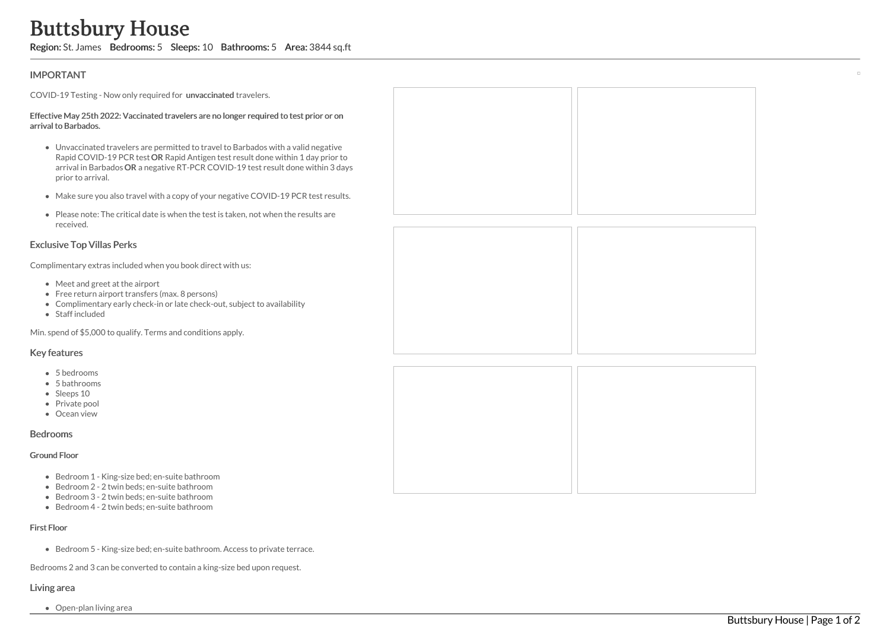# Buttsbury House

Region: St. James Bedrooms: 5 Sleeps: 10 Bathrooms: 5 Area: 3844 sq.ft

# IMPORTANT

COVID-19 Testing - Now only required for unvaccinated travelers.

#### Effective May 25th 2022: Vaccinated travelers are no longer required to test prior arrival to Barbados.

- Unvaccinated travelers are permitted to travel to Barbados with a valid negative Rapid COVID-19 PCR test OR Rapid Antigen test result done within 1 day arrival in Barbados OR a negative RT-PCR COVID-19 test result done with prior to arrival.
- Make sure you also travel with a copy of your negative COVID-19 PCR test
- Please note: The critical date is when the test is taken, not when the results received.

# Exclusive Top Villas Perks

Complimentary extras included when you book direct with us:

- Meet and greet at the airport
- Free return airport transfers (max. 8 persons)
- Complimentary early check-in or late check-out, subject to availability
- Staff included

Min. spend of \$5,000 to qualify. Terms and conditions apply.

## Key features

- 5 bedrooms
- 5 bathrooms
- Sleeps 10
- Private pool
- Ocean view

## Bedrooms

#### Ground Floor

- Bedroom 1 King-size bed; en-suite bathroom
- Bedroom 2 2 twin beds; en-suite bathroom
- Bedroom 3 2 twin beds; en-suite bathroom
- Bedroom 4 2 twin beds; en-suite bathroom

### First Floor

Bedroom 5 - King-size bed; en-suite bathroom. Access to private terrace.

Bedrooms 2 and 3 can be converted to contain a king-size bed upon request.

## Living area

Open-plan living area

| or on                             |  |
|-----------------------------------|--|
| egative<br>prior to<br>hin 3 days |  |
| t results.                        |  |
| s are                             |  |